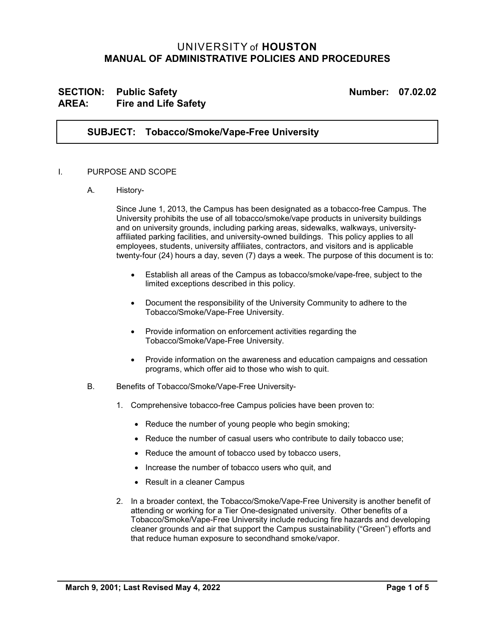# UNIVERSITY of **HOUSTON MANUAL OF ADMINISTRATIVE POLICIES AND PROCEDURES**

# **SECTION: Public Safety Number: 07.02.02 AREA: Fire and Life Safety**

### **SUBJECT: Tobacco/Smoke/Vape-Free University**

#### I. PURPOSE AND SCOPE

A. History-

Since June 1, 2013, the Campus has been designated as a tobacco-free Campus. The University prohibits the use of all tobacco/smoke/vape products in university buildings and on university grounds, including parking areas, sidewalks, walkways, universityaffiliated parking facilities, and university-owned buildings. This policy applies to all employees, students, university affiliates, contractors, and visitors and is applicable twenty-four (24) hours a day, seven (7) days a week. The purpose of this document is to:

- Establish all areas of the Campus as tobacco/smoke/vape-free, subject to the limited exceptions described in this policy.
- Document the responsibility of the University Community to adhere to the Tobacco/Smoke/Vape-Free University.
- Provide information on enforcement activities regarding the Tobacco/Smoke/Vape-Free University.
- Provide information on the awareness and education campaigns and cessation programs, which offer aid to those who wish to quit.
- B. Benefits of Tobacco/Smoke/Vape-Free University-
	- 1. Comprehensive tobacco-free Campus policies have been proven to:
		- Reduce the number of young people who begin smoking;
		- Reduce the number of casual users who contribute to daily tobacco use;
		- Reduce the amount of tobacco used by tobacco users,
		- Increase the number of tobacco users who quit, and
		- Result in a cleaner Campus
	- 2. In a broader context, the Tobacco/Smoke/Vape-Free University is another benefit of attending or working for a Tier One-designated university. Other benefits of a Tobacco/Smoke/Vape-Free University include reducing fire hazards and developing cleaner grounds and air that support the Campus sustainability ("Green") efforts and that reduce human exposure to secondhand smoke/vapor.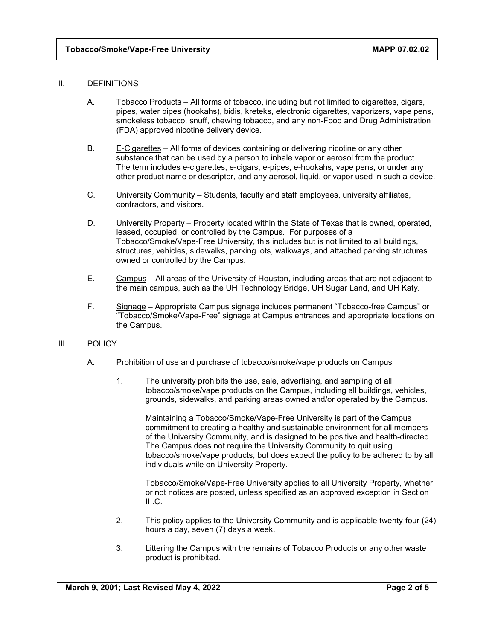#### II. DEFINITIONS

- A. Tobacco Products All forms of tobacco, including but not limited to cigarettes, cigars, pipes, water pipes (hookahs), bidis, kreteks, electronic cigarettes, vaporizers, vape pens, smokeless tobacco, snuff, chewing tobacco, and any non-Food and Drug Administration (FDA) approved nicotine delivery device.
- B. E-Cigarettes All forms of devices containing or delivering nicotine or any other substance that can be used by a person to inhale vapor or aerosol from the product. The term includes e-cigarettes, e-cigars, e-pipes, e-hookahs, vape pens, or under any other product name or descriptor, and any aerosol, liquid, or vapor used in such a device.
- C. University Community Students, faculty and staff employees, university affiliates, contractors, and visitors.
- D. University Property Property located within the State of Texas that is owned, operated, leased, occupied, or controlled by the Campus. For purposes of a Tobacco/Smoke/Vape-Free University, this includes but is not limited to all buildings, structures, vehicles, sidewalks, parking lots, walkways, and attached parking structures owned or controlled by the Campus.
- E. Campus All areas of the University of Houston, including areas that are not adjacent to the main campus, such as the UH Technology Bridge, UH Sugar Land, and UH Katy.
- F. Signage Appropriate Campus signage includes permanent "Tobacco-free Campus" or "Tobacco/Smoke/Vape-Free" signage at Campus entrances and appropriate locations on the Campus.

#### III. POLICY

- A. Prohibition of use and purchase of tobacco/smoke/vape products on Campus
	- 1. The university prohibits the use, sale, advertising, and sampling of all tobacco/smoke/vape products on the Campus, including all buildings, vehicles, grounds, sidewalks, and parking areas owned and/or operated by the Campus.

Maintaining a Tobacco/Smoke/Vape-Free University is part of the Campus commitment to creating a healthy and sustainable environment for all members of the University Community, and is designed to be positive and health-directed. The Campus does not require the University Community to quit using tobacco/smoke/vape products, but does expect the policy to be adhered to by all individuals while on University Property.

Tobacco/Smoke/Vape-Free University applies to all University Property, whether or not notices are posted, unless specified as an approved exception in Section III.C.

- 2. This policy applies to the University Community and is applicable twenty-four (24) hours a day, seven (7) days a week.
- 3. Littering the Campus with the remains of Tobacco Products or any other waste product is prohibited.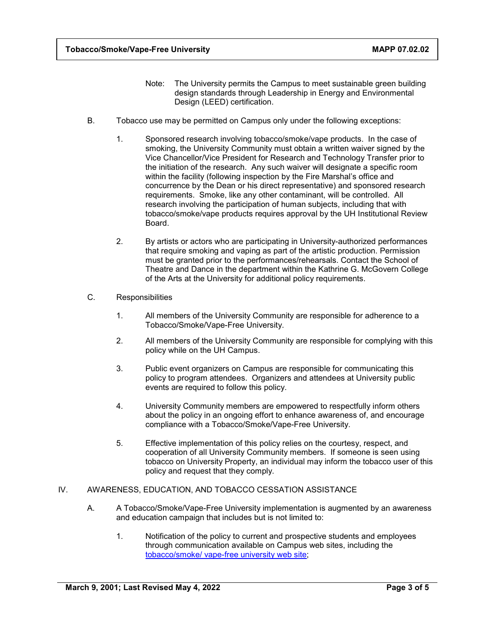- Note: The University permits the Campus to meet sustainable green building design standards through Leadership in Energy and Environmental Design (LEED) certification.
- B. Tobacco use may be permitted on Campus only under the following exceptions:
	- 1. Sponsored research involving tobacco/smoke/vape products. In the case of smoking, the University Community must obtain a written waiver signed by the Vice Chancellor/Vice President for Research and Technology Transfer prior to the initiation of the research. Any such waiver will designate a specific room within the facility (following inspection by the Fire Marshal's office and concurrence by the Dean or his direct representative) and sponsored research requirements. Smoke, like any other contaminant, will be controlled. All research involving the participation of human subjects, including that with tobacco/smoke/vape products requires approval by the UH Institutional Review Board.
	- 2. By artists or actors who are participating in University-authorized performances that require smoking and vaping as part of the artistic production. Permission must be granted prior to the performances/rehearsals. Contact the School of Theatre and Dance in the department within the Kathrine G. McGovern College of the Arts at the University for additional policy requirements.
- C. Responsibilities
	- 1. All members of the University Community are responsible for adherence to a Tobacco/Smoke/Vape-Free University.
	- 2. All members of the University Community are responsible for complying with this policy while on the UH Campus.
	- 3. Public event organizers on Campus are responsible for communicating this policy to program attendees. Organizers and attendees at University public events are required to follow this policy.
	- 4. University Community members are empowered to respectfully inform others about the policy in an ongoing effort to enhance awareness of, and encourage compliance with a Tobacco/Smoke/Vape-Free University.
	- 5. Effective implementation of this policy relies on the courtesy, respect, and cooperation of all University Community members. If someone is seen using tobacco on University Property, an individual may inform the tobacco user of this policy and request that they comply.

### IV. AWARENESS, EDUCATION, AND TOBACCO CESSATION ASSISTANCE

- A. A Tobacco/Smoke/Vape-Free University implementation is augmented by an awareness and education campaign that includes but is not limited to:
	- 1. Notification of the policy to current and prospective students and employees through communication available on Campus web sites, including the [tobacco/smoke/ vape-free university](https://www.uh.edu/policies/other-uh-policy-resources/tobaccofree/) web site;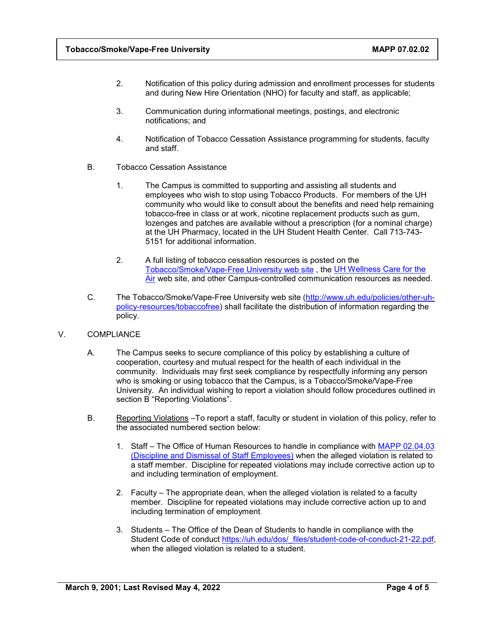- 2. Notification of this policy during admission and enrollment processes for students and during New Hire Orientation (NHO) for faculty and staff, as applicable;
- 3. Communication during informational meetings, postings, and electronic notifications; and
- 4. Notification of Tobacco Cessation Assistance programming for students, faculty and staff.
- B. Tobacco Cessation Assistance
	- 1. The Campus is committed to supporting and assisting all students and employees who wish to stop using Tobacco Products. For members of the UH community who would like to consult about the benefits and need help remaining tobacco-free in class or at work, nicotine replacement products such as gum, lozenges and patches are available without a prescription (for a nominal charge) at the UH Pharmacy, located in the UH Student Health Center. Call 713-743- 5151 for additional information.
	- 2. A full listing of tobacco cessation resources is posted on th[e](https://uh.edu/policies/other-uh-policy-resources/tobaccofree/) [Tobacco/Smoke/Vape-Free University](https://uh.edu/policies/other-uh-policy-resources/tobaccofree/) web site , the [UH Wellness Care for the](http://www.uh.edu/wellness/programs/care-for-the-air/)  [Air](http://www.uh.edu/wellness/programs/care-for-the-air/) web site, and other Campus-controlled communication resources as needed.
- C. The Tobacco/Smoke/Vape-Free University web site [\(http://www.uh.edu/policies/other-uh](http://www.uh.edu/policies/other-uh-policy-resources/tobaccofree)[policy-resources/tobaccofree\)](http://www.uh.edu/policies/other-uh-policy-resources/tobaccofree) shall facilitate the distribution of information regarding the policy.
- V. COMPLIANCE
	- A. The Campus seeks to secure compliance of this policy by establishing a culture of cooperation, courtesy and mutual respect for the health of each individual in the community. Individuals may first seek compliance by respectfully informing any person who is smoking or using tobacco that the Campus, is a Tobacco/Smoke/Vape-Free University. An individual wishing to report a violation should follow procedures outlined in section B "Reporting Violations".
	- B. Reporting Violations –To report a staff, faculty or student in violation of this policy, refer to the associated numbered section below:
		- 1. Staff The Office of Human Resources to handle in compliance with [MAPP 02.04.03](https://uh.edu/policies/_docs/mapp/02/020403.pdf) [\(Discipline and Dismissal of Staff Employees\)](https://uh.edu/policies/_docs/mapp/02/020403.pdf) when the alleged violation is related to a staff member. Discipline for repeated violations may include corrective action up to and including termination of employment.
		- 2. Faculty The appropriate dean, when the alleged violation is related to a faculty member. Discipline for repeated violations may include corrective action up to and including termination of employment.
		- 3. Students The Office of the Dean of Students to handle in compliance with the Student Code of conduct [https://uh.edu/dos/\\_files/student-code-of-conduct-21-22.pdf,](https://uh.edu/dos/_files/student-code-of-conduct-21-22.pdf) when the alleged violation is related to a student.